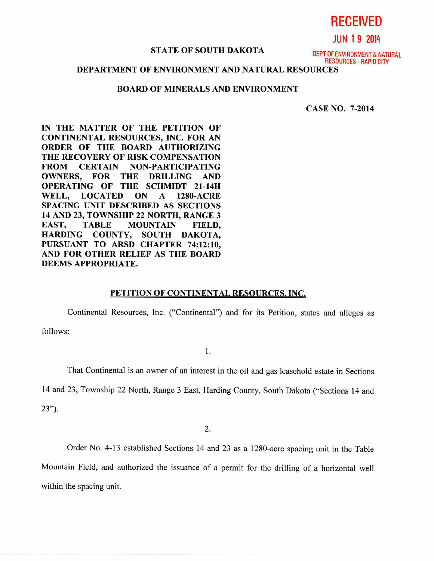**RECEIVED** 

**JUN 1 9 2014** 

# STATE OF SOUTH DAKOTA **DEPT OF ENVIRONMENT & NATURAL**

RESOURCES - RAPID CITY

## **DEPARTMENT OF ENVIRONMENT AND NATURAL RESOURCES**

## **BOARD OF MINERALS AND ENVIRONMENT**

**CASE NO. 7-2014** 

**IN THE MATTER OF THE PETITION OF CONTINENTAL RESOURCES, INC. FOR AN ORDER OF THE BOARD AUTHORIZING THE RECOVERY OF RISK COMPENSATION FROM CERTAIN NON-PARTICIPATING OWNERS, FOR THE DRILLING AND OPERATING OF THE SCHMIDT 21-14H WELL, LOCATED ON A 1280-ACRE SPACING UNIT DESCRIBED AS SECTIONS 14 AND 23, TOWNSHIP 22 NORTH, RANGE 3 EAST, TABLE MOUNTAIN FIELD, HARDING COUNTY, SOUTH DAKOTA, PURSUANT TO ARSD CHAPTER 74:12:10, AND FOR OTHER RELIEF AS THE BOARD DEEMS APPROPRIATE.** 

#### **PETITION OF CONTINENTAL RESOURCES, INC,**

Continental Resources, Inc. ("Continental") and for its Petition, states and alleges as follows:

1.

That Continental is an owner of an interest in the oil and gas leasehold estate in Sections

14 and 23, Township 22 North, Range 3 East, Harding County, South Dakota ("Sections 14 and

23").

2.

Order No. 4-13 established Sections 14 and 23 as a 1280-acre spacing unit in the Table Mountain Field, and authorized the issuance of a permit for the drilling of a horizontal well within the spacing unit.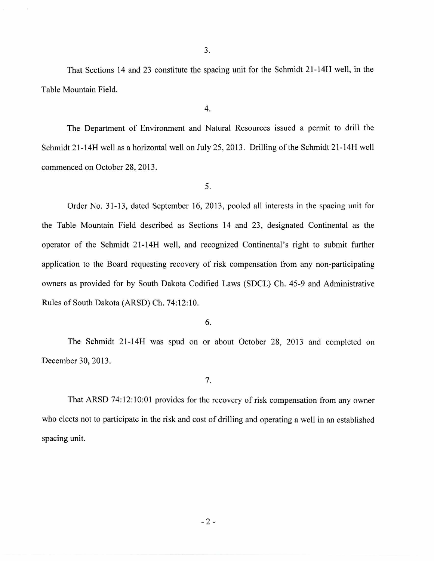That Sections 14 and 23 constitute the spacing unit for the Schmidt 21-14H well, in the Table Mountain Field.

4.

The Department of Environment and Natural Resources issued a permit to drill the Schmidt 21-14H well as a horizontal well on July 25, 2013. Drilling of the Schmidt 21-14H well commenced on October 28, 2013.

5.

Order No. 31-13, dated September 16, 2013, pooled all interests in the spacing unit for the Table Mountain Field described as Sections 14 and 23, designated Continental as the operator of the Schmidt 21-14H well, and recognized Continental's right to submit further application to the Board requesting recovery of risk compensation from any non-participating owners as provided for by South Dakota Codified Laws (SDCL) Ch. 45-9 and Administrative Rules of South Dakota (ARSD) Ch. 74:12:10.

6.

The Schmidt 21-14H was spud on or about October 28, 2013 and completed on December 30, 2013.

7.

That ARSD 74:12:10:01 provides for the recovery of risk compensation from any owner who elects not to participate in the risk and cost of drilling and operating a well in an established spacing unit.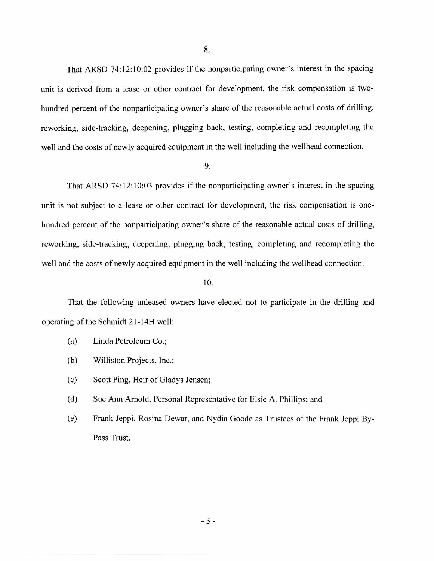That ARSD 74:12:10:02 provides if the nonparticipating owner's interest in the spacing unit is derived from a lease or other contract for development, the risk compensation is twohundred percent of the nonparticipating owner's share of the reasonable actual costs of drilling, reworking, side-tracking, deepening, plugging back, testing, completing and recompleting the well and the costs of newly acquired equipment in the well including the wellhead connection.

### 9.

That ARSD 74:12:10:03 provides if the nonparticipating owner's interest in the spacing unit is not subject to a lease or other contract for development, the risk compensation is onehundred percent of the nonparticipating owner's share of the reasonable actual costs of drilling, reworking, side-tracking, deepening, plugging back, testing, completing and recompleting the well and the costs of newly acquired equipment in the well including the wellhead connection.

## 10.

That the following unleased owners have elected not to participate in the drilling and operating of the Schmidt 21-14H well:

- (a) Linda Petroleum Co.;
- (b) Williston Projects, Inc.;
- (c) Scott Ping, Heir of Gladys Jensen;
- (d) Sue Ann Arnold, Personal Representative for Elsie A. Phillips; and
- (e) Frank Jeppi, Rosina Dewar, and Nydia Goode as Trustees of the Frank Jeppi By-Pass Trust.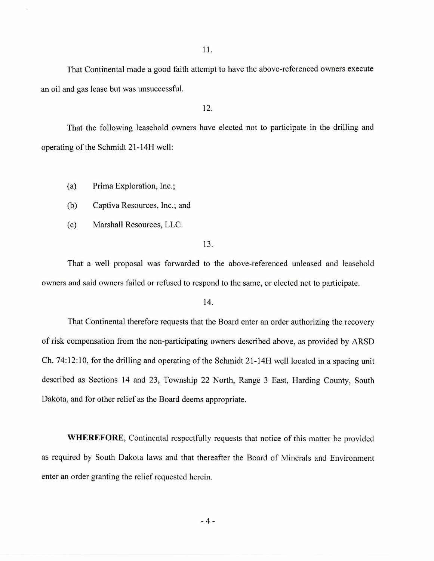11.

That Continental made a good faith attempt to have the above-referenced owners execute an oil and gas lease but was unsuccessful.

12.

That the following leasehold owners have elected not to participate in the drilling and operating of the Schmidt 21-14H well:

(a) Prima Exploration, Inc.;

(b) Captiva Resources, Inc.; and

(c) Marshall Resources, LLC.

13.

That a well proposal was forwarded to the above-referenced unleased and leasehold owners and said owners failed or refused to respond to the same, or elected not to participate.

14.

That Continental therefore requests that the Board enter an order authorizing the recovery of risk compensation from the non-participating owners described above, as provided by ARSD Ch. 74:12:10, for the drilling and operating of the Schmidt 21-14H well located in a spacing unit described as Sections 14 and 23, Township 22 North, Range 3 East, Harding County, South Dakota, and for other relief as the Board deems appropriate.

**WHEREFORE,** Continental respectfully requests that notice of this matter be provided as required by South Dakota laws and that thereafter the Board of Minerals and Environment enter an order granting the relief requested herein.